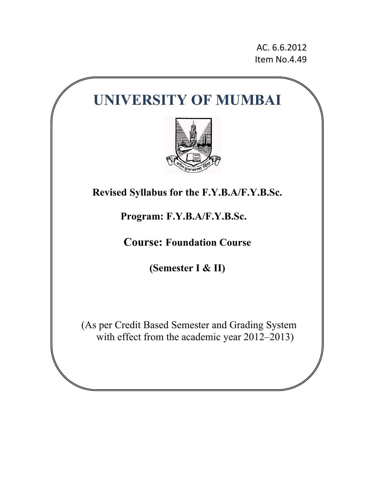AC. 6.6.2012 Item No.4.49

# **UNIVERSITY OF MUMBAI**



**Revised Syllabus for the F.Y.B.A/F.Y.B.Sc.** 

# **Program: F.Y.B.A/F.Y.B.Sc.**

**Course: Foundation Course** 

**(Semester I & II)** 

(As per Credit Based Semester and Grading System with effect from the academic year 2012–2013)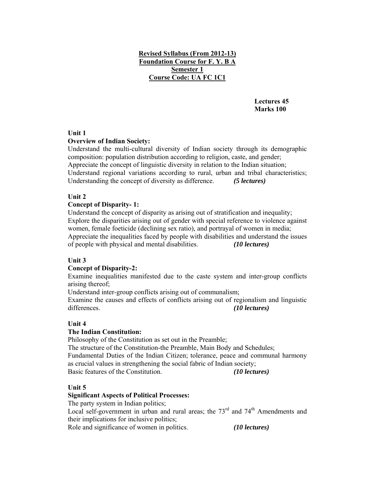# **Revised Syllabus (From 2012-13) Foundation Course for F. Y. B A Semester 1 Course Code: UA FC 1C1**

**Lectures 45 Marks 100** 

#### **Unit 1**

#### **Overview of Indian Society:**

Understand the multi-cultural diversity of Indian society through its demographic composition: population distribution according to religion, caste, and gender; Appreciate the concept of linguistic diversity in relation to the Indian situation; Understand regional variations according to rural, urban and tribal characteristics; Understanding the concept of diversity as difference. *(5 lectures)*

#### **Unit 2**

#### **Concept of Disparity- 1:**

Understand the concept of disparity as arising out of stratification and inequality; Explore the disparities arising out of gender with special reference to violence against women, female foeticide (declining sex ratio), and portrayal of women in media; Appreciate the inequalities faced by people with disabilities and understand the issues of people with physical and mental disabilities. *(10 lectures)* 

#### **Unit 3**

#### **Concept of Disparity-2:**

Examine inequalities manifested due to the caste system and inter-group conflicts arising thereof;

Understand inter-group conflicts arising out of communalism;

Examine the causes and effects of conflicts arising out of regionalism and linguistic differences. *(10 lectures)* 

# **Unit 4**

#### **The Indian Constitution:**

Philosophy of the Constitution as set out in the Preamble; The structure of the Constitution-the Preamble, Main Body and Schedules; Fundamental Duties of the Indian Citizen; tolerance, peace and communal harmony as crucial values in strengthening the social fabric of Indian society; Basic features of the Constitution. *(10 lectures)*

#### **Unit 5**

#### **Significant Aspects of Political Processes:**

The party system in Indian politics;

Local self-government in urban and rural areas; the  $73<sup>rd</sup>$  and  $74<sup>th</sup>$  Amendments and their implications for inclusive politics;

Role and significance of women in politics. *(10 lectures)*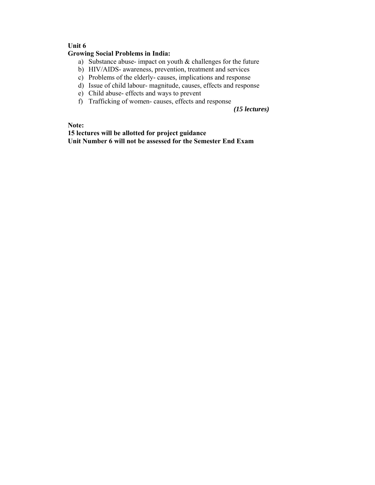# **Unit 6**

#### **Growing Social Problems in India:**

- a) Substance abuse- impact on youth & challenges for the future
- b) HIV/AIDS- awareness, prevention, treatment and services
- c) Problems of the elderly- causes, implications and response
- d) Issue of child labour- magnitude, causes, effects and response
- e) Child abuse- effects and ways to prevent
- f) Trafficking of women- causes, effects and response

*(15 lectures)*

**Note:** 

**15 lectures will be allotted for project guidance Unit Number 6 will not be assessed for the Semester End Exam**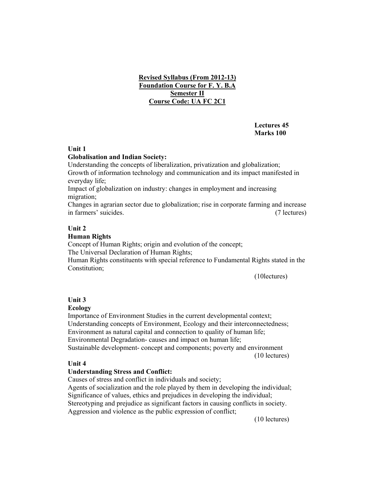# **Revised Syllabus (From 2012-13) Foundation Course for F. Y. B.A Semester II Course Code: UA FC 2C1**

# **Lectures 45 Marks 100**

#### **Unit 1**

#### **Globalisation and Indian Society:**

Understanding the concepts of liberalization, privatization and globalization; Growth of information technology and communication and its impact manifested in everyday life;

Impact of globalization on industry: changes in employment and increasing migration;

Changes in agrarian sector due to globalization; rise in corporate farming and increase in farmers' suicides. (7 lectures)

#### **Unit 2**

#### **Human Rights**

Concept of Human Rights; origin and evolution of the concept;

The Universal Declaration of Human Rights;

Human Rights constituents with special reference to Fundamental Rights stated in the Constitution;

(10lectures)

#### **Unit 3**

#### **Ecology**

Importance of Environment Studies in the current developmental context; Understanding concepts of Environment, Ecology and their interconnectedness; Environment as natural capital and connection to quality of human life; Environmental Degradation- causes and impact on human life; Sustainable development- concept and components; poverty and environment (10 lectures)

#### **Unit 4**

#### **Understanding Stress and Conflict:**

Causes of stress and conflict in individuals and society; Agents of socialization and the role played by them in developing the individual; Significance of values, ethics and prejudices in developing the individual; Stereotyping and prejudice as significant factors in causing conflicts in society. Aggression and violence as the public expression of conflict;

(10 lectures)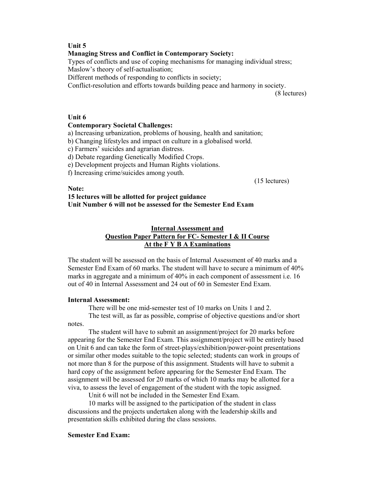#### **Unit 5**

#### **Managing Stress and Conflict in Contemporary Society:**

Types of conflicts and use of coping mechanisms for managing individual stress;

Maslow's theory of self-actualisation;

Different methods of responding to conflicts in society;

Conflict-resolution and efforts towards building peace and harmony in society.

(8 lectures)

#### **Unit 6**

#### **Contemporary Societal Challenges:**

a) Increasing urbanization, problems of housing, health and sanitation;

b) Changing lifestyles and impact on culture in a globalised world.

c) Farmers' suicides and agrarian distress.

d) Debate regarding Genetically Modified Crops.

e) Development projects and Human Rights violations.

f) Increasing crime/suicides among youth.

(15 lectures)

#### **Note:**

**15 lectures will be allotted for project guidance Unit Number 6 will not be assessed for the Semester End Exam** 

# **Internal Assessment and Question Paper Pattern for FC- Semester I & II Course At the F Y B A Examinations**

The student will be assessed on the basis of Internal Assessment of 40 marks and a Semester End Exam of 60 marks. The student will have to secure a minimum of 40% marks in aggregate and a minimum of 40% in each component of assessment i.e. 16 out of 40 in Internal Assessment and 24 out of 60 in Semester End Exam.

#### **Internal Assessment:**

There will be one mid-semester test of 10 marks on Units 1 and 2.

 The test will, as far as possible, comprise of objective questions and/or short notes.

 The student will have to submit an assignment/project for 20 marks before appearing for the Semester End Exam. This assignment/project will be entirely based on Unit 6 and can take the form of street-plays/exhibition/power-point presentations or similar other modes suitable to the topic selected; students can work in groups of not more than 8 for the purpose of this assignment. Students will have to submit a hard copy of the assignment before appearing for the Semester End Exam. The assignment will be assessed for 20 marks of which 10 marks may be allotted for a viva, to assess the level of engagement of the student with the topic assigned.

Unit 6 will not be included in the Semester End Exam.

 10 marks will be assigned to the participation of the student in class discussions and the projects undertaken along with the leadership skills and presentation skills exhibited during the class sessions.

#### **Semester End Exam:**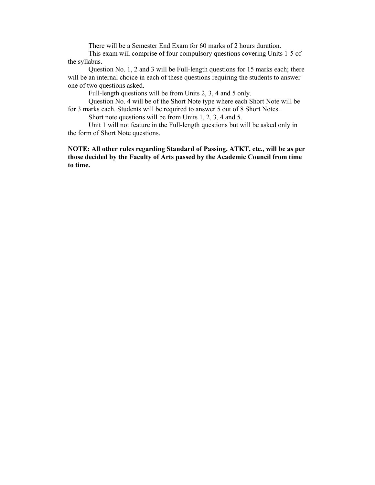There will be a Semester End Exam for 60 marks of 2 hours duration.

 This exam will comprise of four compulsory questions covering Units 1-5 of the syllabus.

 Question No. 1, 2 and 3 will be Full-length questions for 15 marks each; there will be an internal choice in each of these questions requiring the students to answer one of two questions asked.

Full-length questions will be from Units 2, 3, 4 and 5 only.

 Question No. 4 will be of the Short Note type where each Short Note will be for 3 marks each. Students will be required to answer 5 out of 8 Short Notes.

Short note questions will be from Units 1, 2, 3, 4 and 5.

 Unit 1 will not feature in the Full-length questions but will be asked only in the form of Short Note questions.

**NOTE: All other rules regarding Standard of Passing, ATKT, etc., will be as per those decided by the Faculty of Arts passed by the Academic Council from time to time.**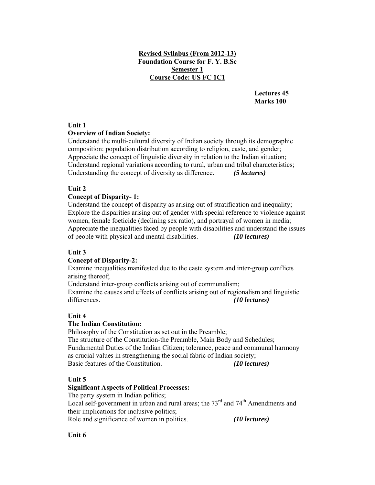# **Revised Syllabus (From 2012-13) Foundation Course for F. Y. B.Sc Semester 1 Course Code: US FC 1C1**

 **Lectures 45 Marks 100** 

#### **Unit 1**

#### **Overview of Indian Society:**

Understand the multi-cultural diversity of Indian society through its demographic composition: population distribution according to religion, caste, and gender; Appreciate the concept of linguistic diversity in relation to the Indian situation; Understand regional variations according to rural, urban and tribal characteristics; Understanding the concept of diversity as difference. *(5 lectures)*

#### **Unit 2**

#### **Concept of Disparity- 1:**

Understand the concept of disparity as arising out of stratification and inequality; Explore the disparities arising out of gender with special reference to violence against women, female foeticide (declining sex ratio), and portrayal of women in media; Appreciate the inequalities faced by people with disabilities and understand the issues of people with physical and mental disabilities. *(10 lectures)* 

#### **Unit 3**

#### **Concept of Disparity-2:**

Examine inequalities manifested due to the caste system and inter-group conflicts arising thereof;

Understand inter-group conflicts arising out of communalism; Examine the causes and effects of conflicts arising out of regionalism and linguistic differences. *(10 lectures)* 

#### **Unit 4**

#### **The Indian Constitution:**

Philosophy of the Constitution as set out in the Preamble; The structure of the Constitution-the Preamble, Main Body and Schedules; Fundamental Duties of the Indian Citizen; tolerance, peace and communal harmony as crucial values in strengthening the social fabric of Indian society; Basic features of the Constitution. *(10 lectures)*

#### **Unit 5**

#### **Significant Aspects of Political Processes:**

The party system in Indian politics;

Local self-government in urban and rural areas; the  $73<sup>rd</sup>$  and  $74<sup>th</sup>$  Amendments and their implications for inclusive politics;

Role and significance of women in politics. *(10 lectures)*

**Unit 6**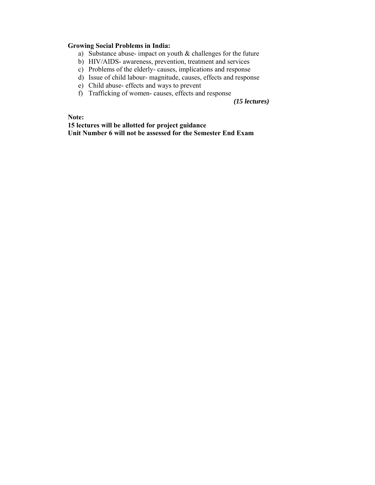#### **Growing Social Problems in India:**

- a) Substance abuse- impact on youth & challenges for the future
- b) HIV/AIDS- awareness, prevention, treatment and services
- c) Problems of the elderly- causes, implications and response
- d) Issue of child labour- magnitude, causes, effects and response
- e) Child abuse- effects and ways to prevent
- f) Trafficking of women- causes, effects and response

*(15 lectures)*

**Note:** 

**15 lectures will be allotted for project guidance Unit Number 6 will not be assessed for the Semester End Exam**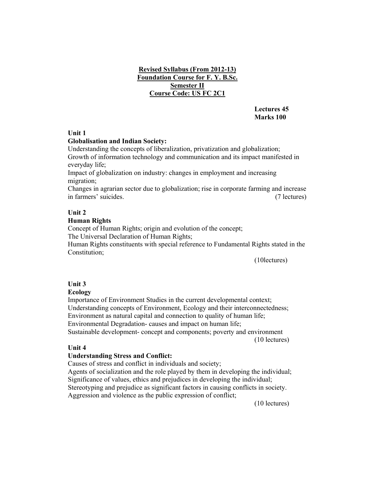# **Revised Syllabus (From 2012-13) Foundation Course for F. Y. B.Sc. Semester II Course Code: US FC 2C1**

 **Lectures 45 Marks 100** 

# **Unit 1**

#### **Globalisation and Indian Society:**

Understanding the concepts of liberalization, privatization and globalization; Growth of information technology and communication and its impact manifested in everyday life;

Impact of globalization on industry: changes in employment and increasing migration;

Changes in agrarian sector due to globalization; rise in corporate farming and increase in farmers' suicides. (7 lectures)

# **Unit 2**

#### **Human Rights**

Concept of Human Rights; origin and evolution of the concept;

The Universal Declaration of Human Rights;

Human Rights constituents with special reference to Fundamental Rights stated in the Constitution;

(10lectures)

# **Unit 3**

# **Ecology**

Importance of Environment Studies in the current developmental context; Understanding concepts of Environment, Ecology and their interconnectedness; Environment as natural capital and connection to quality of human life; Environmental Degradation- causes and impact on human life;

Sustainable development- concept and components; poverty and environment (10 lectures)

#### **Unit 4**

#### **Understanding Stress and Conflict:**

Causes of stress and conflict in individuals and society;

Agents of socialization and the role played by them in developing the individual; Significance of values, ethics and prejudices in developing the individual; Stereotyping and prejudice as significant factors in causing conflicts in society. Aggression and violence as the public expression of conflict;

(10 lectures)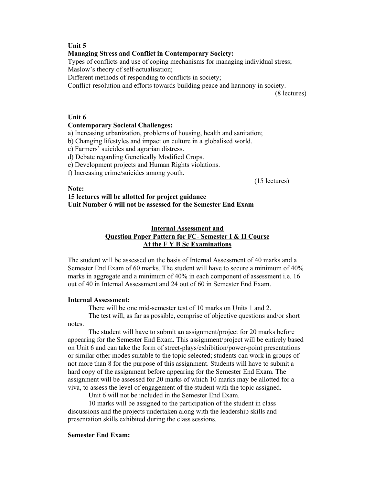#### **Unit 5**

#### **Managing Stress and Conflict in Contemporary Society:**

Types of conflicts and use of coping mechanisms for managing individual stress;

Maslow's theory of self-actualisation;

Different methods of responding to conflicts in society;

Conflict-resolution and efforts towards building peace and harmony in society.

(8 lectures)

#### **Unit 6**

#### **Contemporary Societal Challenges:**

a) Increasing urbanization, problems of housing, health and sanitation;

b) Changing lifestyles and impact on culture in a globalised world.

c) Farmers' suicides and agrarian distress.

d) Debate regarding Genetically Modified Crops.

e) Development projects and Human Rights violations.

f) Increasing crime/suicides among youth.

(15 lectures)

**Note:** 

# **15 lectures will be allotted for project guidance Unit Number 6 will not be assessed for the Semester End Exam**

# **Internal Assessment and Question Paper Pattern for FC- Semester I & II Course At the F Y B Sc Examinations**

The student will be assessed on the basis of Internal Assessment of 40 marks and a Semester End Exam of 60 marks. The student will have to secure a minimum of 40% marks in aggregate and a minimum of 40% in each component of assessment i.e. 16 out of 40 in Internal Assessment and 24 out of 60 in Semester End Exam.

#### **Internal Assessment:**

There will be one mid-semester test of 10 marks on Units 1 and 2.

 The test will, as far as possible, comprise of objective questions and/or short notes.

 The student will have to submit an assignment/project for 20 marks before appearing for the Semester End Exam. This assignment/project will be entirely based on Unit 6 and can take the form of street-plays/exhibition/power-point presentations or similar other modes suitable to the topic selected; students can work in groups of not more than 8 for the purpose of this assignment. Students will have to submit a hard copy of the assignment before appearing for the Semester End Exam. The assignment will be assessed for 20 marks of which 10 marks may be allotted for a viva, to assess the level of engagement of the student with the topic assigned.

Unit 6 will not be included in the Semester End Exam.

 10 marks will be assigned to the participation of the student in class discussions and the projects undertaken along with the leadership skills and presentation skills exhibited during the class sessions.

#### **Semester End Exam:**